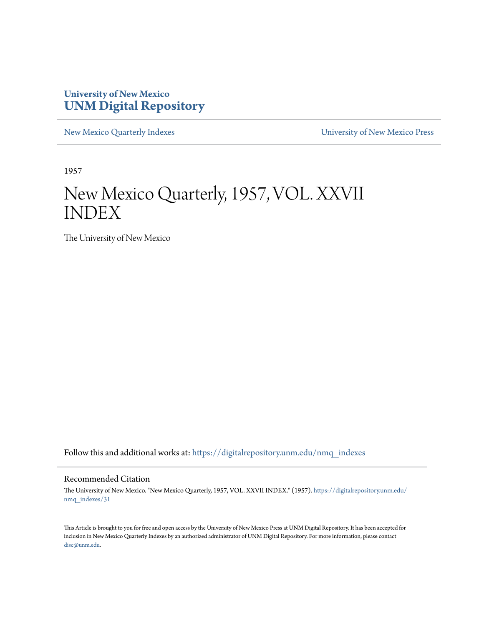# **University of New Mexico [UNM Digital Repository](https://digitalrepository.unm.edu?utm_source=digitalrepository.unm.edu%2Fnmq_indexes%2F31&utm_medium=PDF&utm_campaign=PDFCoverPages)**

[New Mexico Quarterly Indexes](https://digitalrepository.unm.edu/nmq_indexes?utm_source=digitalrepository.unm.edu%2Fnmq_indexes%2F31&utm_medium=PDF&utm_campaign=PDFCoverPages) [University of New Mexico Press](https://digitalrepository.unm.edu/press?utm_source=digitalrepository.unm.edu%2Fnmq_indexes%2F31&utm_medium=PDF&utm_campaign=PDFCoverPages)

1957

# New Mexico Quarterly, 1957, VOL. XXVII INDEX

The University of New Mexico

Follow this and additional works at: [https://digitalrepository.unm.edu/nmq\\_indexes](https://digitalrepository.unm.edu/nmq_indexes?utm_source=digitalrepository.unm.edu%2Fnmq_indexes%2F31&utm_medium=PDF&utm_campaign=PDFCoverPages)

# Recommended Citation

The University of New Mexico. "New Mexico Quarterly, 1957, VOL. XXVII INDEX." (1957). [https://digitalrepository.unm.edu/](https://digitalrepository.unm.edu/nmq_indexes/31?utm_source=digitalrepository.unm.edu%2Fnmq_indexes%2F31&utm_medium=PDF&utm_campaign=PDFCoverPages) [nmq\\_indexes/31](https://digitalrepository.unm.edu/nmq_indexes/31?utm_source=digitalrepository.unm.edu%2Fnmq_indexes%2F31&utm_medium=PDF&utm_campaign=PDFCoverPages)

This Article is brought to you for free and open access by the University of New Mexico Press at UNM Digital Repository. It has been accepted for inclusion in New Mexico Quarterly Indexes by an authorized administrator of UNM Digital Repository. For more information, please contact [disc@unm.edu](mailto:disc@unm.edu).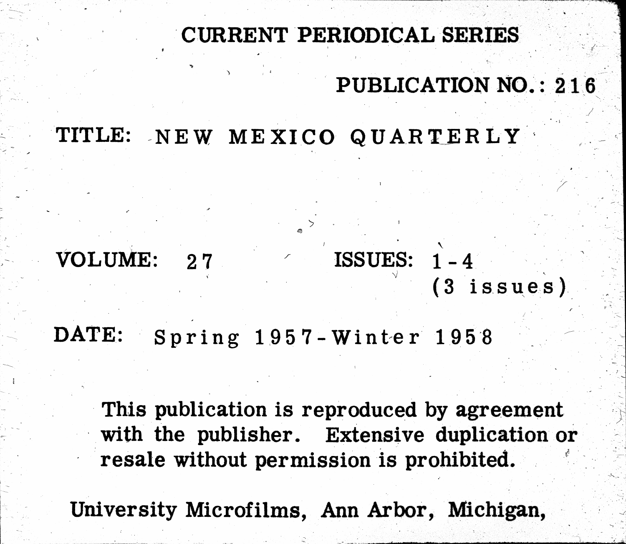# TITLE: NEW MEXICO QUARTERLY

# VOLUME:  $2.7$

# DATE: Spring 1957-Winter 1958

# resale without permission is prohibited.

University Microfilms, Ann Arbor, Michigan,

# CURRENT PERIODICAL SERIES

# PUBLICATION NO.: 216

# ISSUES:  $1 - 4$  $(3)$ issues

This publication is reproduced by agreement with the publisher. Extensive duplication or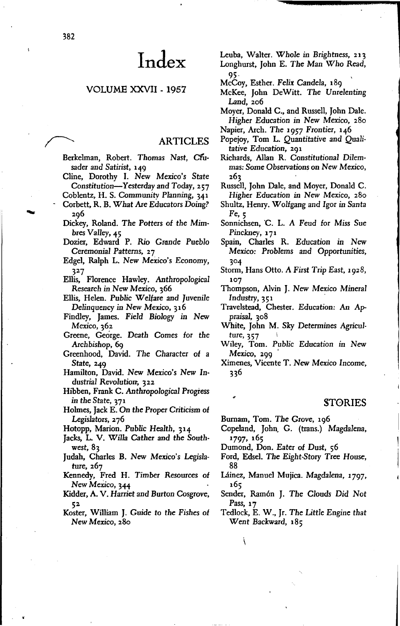# VOLUME XXVII - 1957

# ARTICLES

- Berkelman, Robert. Thomas Nast, Cfusader and Satirist, 149
- Cline, Dorothy I. *New Mexico's State* Constitution-Yesterday and Today, 257
- Coblentz, H. S. *Community* Planning, 341 Corbett, R. B. What Are Educators Doing? 296
- Dickey, Roland. *The* Potters *of the* Mimbres *Valley,* 45
- Dozier, Edward P. Rio Grande Pueblo Ceremonial Patterns, 27
- Edgel, Ralph L. New Mexico's Economy, 327

Ellis, Florence Hawley. Anthropological Research in New Mexico, 366

- Ellis, Helen. Public Welfare and Juvenile Delinquency in New *Mexico, 316*
- Findley, James. Field Biology *in* New *Mexico,* 362
- Greene, George. Death Comes *for* the *Archbishop, 69*
- Greenhood, David. *The* Character *of* a State, 249
- Hamilton, David. New *Mexico's* New *Industrial* Revolution, 322
- Hibben, Frank C. Anthropological Progress in *the State, 371*
- Holmes, Jack E. On the Proper Criticism *of* Legislators, 276
- Hotopp, Marion. Public *Health,* 314
- Jacks, L. V. Willa Cather and *the* Southwest, 83
- Judah, Charles B. New Mexico's *Legisla*ture, 267
- Kennedy, Fred H. *Timber* Resources *of* New Mexico, 344
- Kidder, A. V. Harriet and Burton Cosgrove, 52
- Koster, William J. Guide to *the Fishes of New Mexico, 280*

Leuba, Walter. Whole in Brightness, 213 Longhurst, John E. *The* Man Who Read, 95·

- McCoy, Esther. *Felix* Candela, 189
- McKee, John DeWitt. *The* Unrelenting Land, 206
- Moyer, Donald C., and Russell, John Dale. Higher Education in New Mexico, 280
- Napier, Arch. *The* 1957 Frontier, 146
- Popejoy, Tom L. Quantitative and *Quali*tative Education, 291
- Richards, Allan R. Constitutional *Dilem*mas: Some Observations on New *Mexico,* 263
- Russell, John Dale, and Moyer, Donald C. Higher *Education* in New Mexico, 280
- Shultz, Henry. Wolfgang and Igor in Santa *Fe,* 5
- Sonnichsen, C. L. A Feud for Miss Sue Pinckney, 171
- Spain, Charles R. *Education in* New Mexico: *Problems* and Opportunities, 3°4
- Storm, Hans Otto. A First Trip East, 1928, 1°7
- Thompson, Alvin J. New *Mexico Mineral* Industry, 351
- Travelstead, Chester. Education: An Ap*praisal, 308*
- White, John M. Sky *Determines Agricul*ture, 357 \
- Wiley, Tom. Public Education *in* New *Mexico,* 299 '
- Ximenes, Vicente T. New *Mexico Income,* 336

# ST0RIES

- Burnam, Tom. *The* Grove, 196
- Copeland, John. G. (trans.) Magdalena, 1797, 165
- Dumond, Don. Eater *of* Dust, 56
- Ford, Edsel. *The* Eight-Story Tree House, 88
- Uinez, Manuel Mujica. *Magdalena, 1797,* 165
- Sender, Ram6n J. *The Clouds Did* Not Pass, 17
- Tedlock, E. W., Jr. *The Little* Engine that Went Backward, 185

Í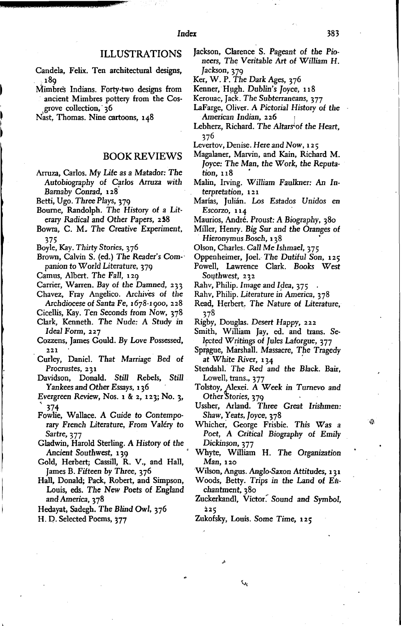- Candela, Felix. Ten architectural designs, 18g
- Mimbres Indians. Forty-two designs from ancient Mimbres pottery from the Cosgrove collection, 36

Nast, Thomas. Nine cartoons, 148

### **BOOK REVIEWS**

Arruza, Carlos. My Life as a Matador: The Autobiography of Carlos Arruza with Barnaby Conrad, 128

Betti, Ugo. Three Plays, 379

- Bourne, Randolph. The History of a Literary Radical and Other Papers, 258
- Bowra, C. M. The Creative Experiment, 375
- Boyle, Kay. Thirty Stories, 376
- Brown, Calvin S. (ed.) The Reader's Companion to World Literature, 379
- Camus, Albert. The Fall, 129
- Carrier, Warren. Bay of the Damned, 233
- Chavez, Fray Angelico. Archives of the
- Archdiocese of Santa Fe, 1678-1900, 228
- Cicellis, Kay. Ten Seconds from Now, 378 Clark, Kenneth. The Nude: A Study in Ideal Form, 227
- Cozzens, James Gould. By Love Possessed, 221
- Curley, Daniel. That Marriage Bed of Procrustes, 231
- Davidson, Donald. Still Rebels, Still Yankees and Other Essays, 136
- Evergreen Review, Nos. 1 & 2, 123; No. 3, 374
- Fowlie, Wallace. A Guide to Contemporary French Literature, From Valéry to Sartre, 377
- Gladwin, Harold Sterling. A History of the Ancient Southwest, 120
- Gold, Herbert; Cassill, R. V., and Hall, James B. Fifteen by Three, 376
- Hall, Donald; Pack, Robert, and Simpson, Louis, eds. The New Poets of England and America, 378
- Hedayat, Sadegh. The Blind Owl, 376
- H. D. Selected Poems, 377

Jackson, Clarence S. Pageant of the Pioneers, The Veritable Art of William H.

383

- Jackson, 379<br>Ker, W. P. The Dark Ages, 376
- Kenner, Hugh. Dublin's Joyce, 118
- Kerouac, Jack. The Subterraneans, 377
- LaFarge, Oliver. A Pictorial History of the American Indian, 226
- Lebherz, Richard. The Altars<sup>i</sup> of the Heart, 376
- Levertov, Denise. Here and Now, 125
- Magalaner, Marvin, and Kain, Richard M. Joyce: The Man, the Work, the Reputation, 118
- Malin, Irving. William Faulkner: An Interpretation, 121
- Marías, Julián. Los Estados Unidos en Escorzo, 114
- Maurios, André. Proust: A Biography, 380
- Miller, Henry. Big Sur and the Oranges of Hieronymus Bosch, 138
- Olson, Charles. Call Me Ishmael, 375
- Oppenheimer, Joel. The Dutiful Son, 125 Powell, Lawrence Clark. Books West
- Southwest, 232 Rahv, Philip. Image and Idea, 375
- Rahv, Philip. Literature in America, 378
- Read, Herbert. The Nature of Literature, 378
- Rigby, Douglas. Desert Happy, 222
- Smith, William Jay, ed. and trans. Selected Writings of Jules Laforgue, 377
- Sprague, Marshall. Massacre, The Tragedy at White River, 134
- Stendahl. The Red and the Black. Bair, Lowell, trans., 377
- Tolstoy, Alexei. A Week in Turnevo and<br>Other Stories, 379
- Ussher, Arland. Three Great Irishmen: Shaw, Yeats, Joyce, 378
- Whicher, George Frisbie. This Was a Poet, A Critical Biography of Emily Dickinson, 377
- Whyte, William H. The Organization Man, 120

Wilson, Angus. Anglo-Saxon Attitudes, 131

- Woods, Betty. Trips in the Land of Enchantment, 380
- Zuckerkandl, Victor. Sound and Symbol,  $225$

Zukofsky, Louis. Some Time, 125